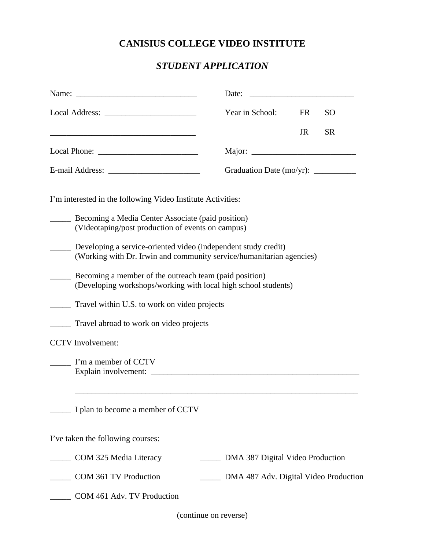## **CANISIUS COLLEGE VIDEO INSTITUTE**

## *STUDENT APPLICATION*

|                                                                                                                                        | Date:                                 |           |               |
|----------------------------------------------------------------------------------------------------------------------------------------|---------------------------------------|-----------|---------------|
|                                                                                                                                        | Year in School:                       | <b>FR</b> | <sub>SO</sub> |
|                                                                                                                                        |                                       | <b>JR</b> | <b>SR</b>     |
|                                                                                                                                        |                                       |           |               |
|                                                                                                                                        | Graduation Date (mo/yr): ___________  |           |               |
| I'm interested in the following Video Institute Activities:                                                                            |                                       |           |               |
| Becoming a Media Center Associate (paid position)<br>(Videotaping/post production of events on campus)                                 |                                       |           |               |
| Developing a service-oriented video (independent study credit)<br>(Working with Dr. Irwin and community service/humanitarian agencies) |                                       |           |               |
| Becoming a member of the outreach team (paid position)<br>(Developing workshops/working with local high school students)               |                                       |           |               |
| Travel within U.S. to work on video projects                                                                                           |                                       |           |               |
| Travel abroad to work on video projects                                                                                                |                                       |           |               |
| <b>CCTV</b> Involvement:                                                                                                               |                                       |           |               |
| I'm a member of CCTV                                                                                                                   |                                       |           |               |
| I plan to become a member of CCTV                                                                                                      |                                       |           |               |
| I've taken the following courses:                                                                                                      |                                       |           |               |
| COM 325 Media Literacy                                                                                                                 | DMA 387 Digital Video Production      |           |               |
| COM 361 TV Production                                                                                                                  | DMA 487 Adv. Digital Video Production |           |               |
| COM 461 Adv. TV Production                                                                                                             |                                       |           |               |

(continue on reverse)